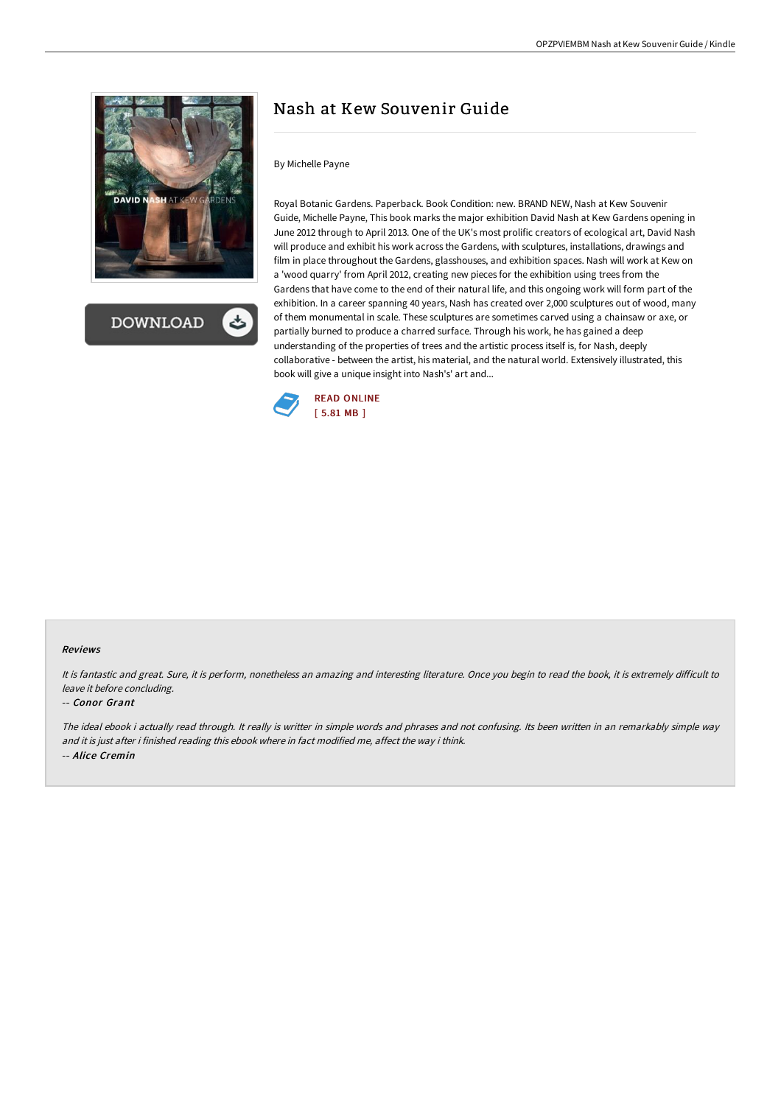



# Nash at Kew Souvenir Guide

### By Michelle Payne

Royal Botanic Gardens. Paperback. Book Condition: new. BRAND NEW, Nash at Kew Souvenir Guide, Michelle Payne, This book marks the major exhibition David Nash at Kew Gardens opening in June 2012 through to April 2013. One of the UK's most prolific creators of ecological art, David Nash will produce and exhibit his work across the Gardens, with sculptures, installations, drawings and film in place throughout the Gardens, glasshouses, and exhibition spaces. Nash will work at Kew on a 'wood quarry' from April 2012, creating new pieces for the exhibition using trees from the Gardens that have come to the end of their natural life, and this ongoing work will form part of the exhibition. In a career spanning 40 years, Nash has created over 2,000 sculptures out of wood, many of them monumental in scale. These sculptures are sometimes carved using a chainsaw or axe, or partially burned to produce a charred surface. Through his work, he has gained a deep understanding of the properties of trees and the artistic process itself is, for Nash, deeply collaborative - between the artist, his material, and the natural world. Extensively illustrated, this book will give a unique insight into Nash's' art and...



### Reviews

It is fantastic and great. Sure, it is perform, nonetheless an amazing and interesting literature. Once you begin to read the book, it is extremely difficult to leave it before concluding.

#### -- Conor Grant

The ideal ebook i actually read through. It really is writter in simple words and phrases and not confusing. Its been written in an remarkably simple way and it is just after i finished reading this ebook where in fact modified me, affect the way i think. -- Alice Cremin